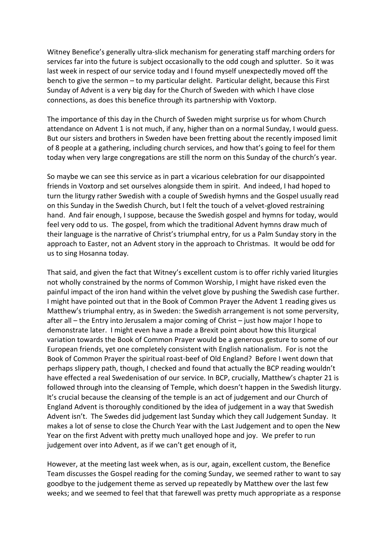Witney Benefice's generally ultra-slick mechanism for generating staff marching orders for services far into the future is subject occasionally to the odd cough and splutter. So it was last week in respect of our service today and I found myself unexpectedly moved off the bench to give the sermon – to my particular delight. Particular delight, because this First Sunday of Advent is a very big day for the Church of Sweden with which I have close connections, as does this benefice through its partnership with Voxtorp.

The importance of this day in the Church of Sweden might surprise us for whom Church attendance on Advent 1 is not much, if any, higher than on a normal Sunday, I would guess. But our sisters and brothers in Sweden have been fretting about the recently imposed limit of 8 people at a gathering, including church services, and how that's going to feel for them today when very large congregations are still the norm on this Sunday of the church's year.

So maybe we can see this service as in part a vicarious celebration for our disappointed friends in Voxtorp and set ourselves alongside them in spirit. And indeed, I had hoped to turn the liturgy rather Swedish with a couple of Swedish hymns and the Gospel usually read on this Sunday in the Swedish Church, but I felt the touch of a velvet-gloved restraining hand. And fair enough, I suppose, because the Swedish gospel and hymns for today, would feel very odd to us. The gospel, from which the traditional Advent hymns draw much of their language is the narrative of Christ's triumphal entry, for us a Palm Sunday story in the approach to Easter, not an Advent story in the approach to Christmas. It would be odd for us to sing Hosanna today.

That said, and given the fact that Witney's excellent custom is to offer richly varied liturgies not wholly constrained by the norms of Common Worship, I might have risked even the painful impact of the iron hand within the velvet glove by pushing the Swedish case further. I might have pointed out that in the Book of Common Prayer the Advent 1 reading gives us Matthew's triumphal entry, as in Sweden: the Swedish arrangement is not some perversity, after all – the Entry into Jerusalem a major coming of Christ – just how major I hope to demonstrate later. I might even have a made a Brexit point about how this liturgical variation towards the Book of Common Prayer would be a generous gesture to some of our European friends, yet one completely consistent with English nationalism. For is not the Book of Common Prayer the spiritual roast-beef of Old England? Before I went down that perhaps slippery path, though, I checked and found that actually the BCP reading wouldn't have effected a real Swedenisation of our service. In BCP, crucially, Matthew's chapter 21 is followed through into the cleansing of Temple, which doesn't happen in the Swedish liturgy. It's crucial because the cleansing of the temple is an act of judgement and our Church of England Advent is thoroughly conditioned by the idea of judgement in a way that Swedish Advent isn't. The Swedes did judgement last Sunday which they call Judgement Sunday. It makes a lot of sense to close the Church Year with the Last Judgement and to open the New Year on the first Advent with pretty much unalloyed hope and joy. We prefer to run judgement over into Advent, as if we can't get enough of it,

However, at the meeting last week when, as is our, again, excellent custom, the Benefice Team discusses the Gospel reading for the coming Sunday, we seemed rather to want to say goodbye to the judgement theme as served up repeatedly by Matthew over the last few weeks; and we seemed to feel that that farewell was pretty much appropriate as a response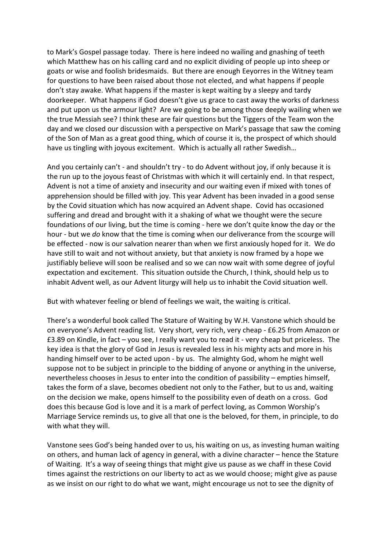to Mark's Gospel passage today. There is here indeed no wailing and gnashing of teeth which Matthew has on his calling card and no explicit dividing of people up into sheep or goats or wise and foolish bridesmaids. But there are enough Eeyorres in the Witney team for questions to have been raised about those not elected, and what happens if people don't stay awake. What happens if the master is kept waiting by a sleepy and tardy doorkeeper. What happens if God doesn't give us grace to cast away the works of darkness and put upon us the armour light? Are we going to be among those deeply wailing when we the true Messiah see? I think these are fair questions but the Tiggers of the Team won the day and we closed our discussion with a perspective on Mark's passage that saw the coming of the Son of Man as a great good thing, which of course it is, the prospect of which should have us tingling with joyous excitement. Which is actually all rather Swedish…

And you certainly can't - and shouldn't try - to do Advent without joy, if only because it is the run up to the joyous feast of Christmas with which it will certainly end. In that respect, Advent is not a time of anxiety and insecurity and our waiting even if mixed with tones of apprehension should be filled with joy. This year Advent has been invaded in a good sense by the Covid situation which has now acquired an Advent shape. Covid has occasioned suffering and dread and brought with it a shaking of what we thought were the secure foundations of our living, but the time is coming - here we don't quite know the day or the hour - but we *do* know that the time is coming when our deliverance from the scourge will be effected - now is our salvation nearer than when we first anxiously hoped for it. We do have still to wait and not without anxiety, but that anxiety is now framed by a hope we justifiably believe will soon be realised and so we can now wait with some degree of joyful expectation and excitement. This situation outside the Church, I think, should help us to inhabit Advent well, as our Advent liturgy will help us to inhabit the Covid situation well.

But with whatever feeling or blend of feelings we wait, the waiting is critical.

There's a wonderful book called The Stature of Waiting by W.H. Vanstone which should be on everyone's Advent reading list. Very short, very rich, very cheap - £6.25 from Amazon or £3.89 on Kindle, in fact – you see, I really want you to read it - very cheap but priceless. The key idea is that the glory of God in Jesus is revealed less in his mighty acts and more in his handing himself over to be acted upon - by us. The almighty God, whom he might well suppose not to be subject in principle to the bidding of anyone or anything in the universe, nevertheless chooses in Jesus to enter into the condition of passibility – empties himself, takes the form of a slave, becomes obedient not only to the Father, but to us and, waiting on the decision we make, opens himself to the possibility even of death on a cross. God does this because God is love and it is a mark of perfect loving, as Common Worship's Marriage Service reminds us, to give all that one is the beloved, for them, in principle, to do with what they will.

Vanstone sees God's being handed over to us, his waiting on us, as investing human waiting on others, and human lack of agency in general, with a divine character – hence the Stature of Waiting. It's a way of seeing things that might give us pause as we chaff in these Covid times against the restrictions on our liberty to act as we would choose; might give as pause as we insist on our right to do what we want, might encourage us not to see the dignity of